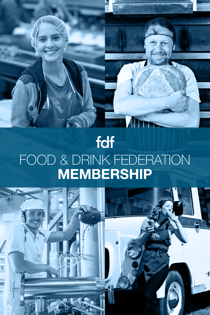# fdf FOOD & DRINK FEDERATION **MEMBERSHIP**

TIA

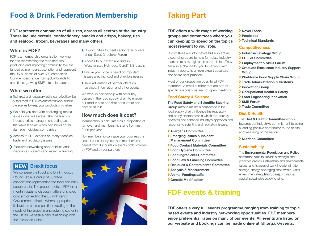**FDF represents companies of all sizes, across all sectors of the industry. Those include cereals, confectionery, snacks and crisps, bakery, fish and seafood, frozen, beverages and many others.**

## **What is FDF?**

FDF is a membership organisation working for and representing the food and drink producing and importing community. We are funded by member subscription and represent the UK business of over 300 companies. Our members range from global brands to ambitious, growing SMEs, to sole traders.

## **What we offer**

- **>** Technical and regulatory tasks can effectively be outsourced to FDF as our teams work behind the scenes to keep your products on shelves
- We help you deal with challenging media issues - we will always take the lead on industry crisis management acting as the wave breaker when bad news could damage individual companies
- Access to FDF experts on many technical, trade and regulatory issues
- Exclusive networking opportunities and discounts on events and essential training

## **NEW Brexit focus**

We convene the Food and Drink Industry Round Table, a group of 50 trade associations representing the food and drink supply chain. The group meets at FDF on a monthly basis to discuss matters of shared concern on exiting the EU with senior Government officials. Where appropriate, it develops shared positions relating to the needs of the largest manufacturing sector in the UK as we seek a new relationship with the European Union.

- **> Opportunities to meet senior retail buyers** at our Sales Directors' Forum
- Access to our extensive links in Westminster, Holyrood, Cardiff & Brussels
- Ensure your voice is heard on important issues affecting food and drink businesses
- Take advantage of partner offers on services, information and other events

We work in partnership with other key players in the food supply chain to ensure our food is safe and that consumers can have trust in it.

## **How much does it cost?**

Membership is calculated as a proportion of turnover and membership starts from just £225 per year.

FDF membership can save your business the cost of consultancy fees and members can benefit from discounts on events both provided by FDF and by our partners.



## **Taking Part**

**FDF offers a wide range of working groups and committees where you can keep up to speed on the topics most relevant to your role.** 

Committees are informative but also act as a sounding board to help formulate industry reaction to new legislation and policies. They are also a chance for you to network with industry peers, hear from expert speakers and share best practice.

Most of our groups are open to all FDF members. A small number that are part of specific associations are not open meetings.

#### **Food Safety & Science**

#### **The Food Safety and Scientific Steering**

**Group** aims to maintain confidence in the food supply chain, influence the regulatory and policy environment in which the industry operates and enhance industry's approach and response to scientific and regulatory issues.

- **Allergens Committee**
- **Emerging Issues & Incident Management Committee**
- **Food Contact Materials Committee**
- **Food Hygiene Committee**
- **Food Ingredients Committee**
- **Food Law & Labelling Committee**
- **Residues & Contaminants Committee**
- **Analysis & Measurement**
- **Animal Feedingstuffs**
- **Genetic Modification**

## **FDF events & training**

**FDF offers a very full events programme ranging from training to topic based events and industry networking opportunities. FDF members enjoy preferential rates on many of our events. All events are listed on our website and bookings can be made online at fdf.org.uk/events.**

- **Novel Foods**
	- **Pesticides**
	- **Technical Standards**

#### **Competitiveness**

- **Industrial Strategy Group**
- **EU Exit Committee**
- **Employment & Skills Forum**
- **Graduate Excellence Industry Support Group**
- **Workforce Food Supply Chain Group**
- **Trade Administration & Customs**
- **Innovation Group**
- **Occupational Health & Safety**
- **Food Engineering Innovation**
- **SME Forum**
- **Trade Committee**

#### **Diet & Health**

The **Diet & Health Committee** works towards our industry's commitment to being a leading positive contributor to the health and wellbeing of the nation.

#### **Nutrition Committee**

#### **Sustainability**

#### The **Environmental Regulation and Policy**

committee aims to provide a strategic and proactive lead on sustainability and environmental issues, and its areas of work include: climate change, energy, packaging, food waste, water, environmental regulation, transport, natural capital, sustainable supply chains.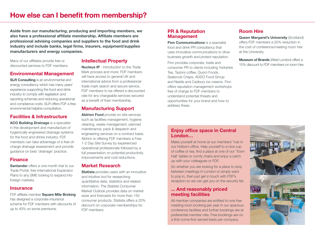**Aside from our manufacturing, producing and importing members, we also have a professional affiliate membership. Affiliate members are professional advising companies and suppliers to the food and drink industry and include banks, legal firms, insurers, equipment/supplies manufacturers and energy companies.**

Many of our affiliates provide free or discounted services to FDF members.

## **Environmental Management**

**SLR Consulting** is an environmental and energy consultancy which has many years' experience supporting the food and drink industry to comply with legislation and reporting schemes and reducing operational and compliance costs. SLR offers FDF a free environmental helpline consultation.

#### **Facilities & Infrastructure**

**ACO Building Drainage** is a specialist in the development and manufacture of hygienically engineered drainage systems for the food and drinks industry. FDF members can take advantage of a free-ofcharge drainage assessment and provide guidance on best 'drainage' practice.

### **Finance**

**Santander** offers a one month trial to our Trade Portal, free International Expansion Plans to any SME looking to expand into foreign markets.

#### **Insurance**

FDF affiliate member **Square Mile Broking** has designed a corporate insurance scheme for FDF members with discounts of up to 40% on some premiums.

### **Intellectual Property**

**Nucleus IP** - Introduction to the Trade Mark process and more: FDF members will have access to general UK and international advice from a professional trade mark search and secure service. FDF members to be offered a discounted rate for any chargeable services secured as a benefit of their membership.

#### **Manufacturing Support**

**Aktrion Food** provide on-site services such as facilities management, hygiene cleaning, waste management, planned maintenance, pack & despatch and engineering services on a contract basis. Aktrion is offering FDF members a Free 1-2 Day Site Survey by experienced operational professionals followed by a full presentation on potential productivity improvements and cost reductions.

#### **Market Research**

**Statista** provides users with an innovative and intuitive tool for researching quantitative data, statistics and related information. The Statista Consumer Market Outlook provides data on market sizes and forecasts for more than 150 consumer products. Statista offers a 20% discount on corporate memberships for FDF members.

#### **PR & Reputation Management**

**Finn Communications** is a specialist food and drink PR consultancy that uses innovative communications to drive business growth and protect reputation.

Finn provides corporate, trade and consumer PR to clients including Yorkshire Tea, Taylors coffee, Quorn Foods, Seabrook Crisps, ADDO Food Group and Nestle and Cadbury ice creams. Finn offers reputation management workshops free of charge to FDF members to understand potential threats and opportunities for your brand and how to address these.

## **Room Hire**

**Queen Margaret's University** (Scotland) offers FDF members a 20% reduction in the cost of conference/meeting room hire at the University.

**Museum of Brands** (West London) offers a 15% discount to FDF members on room hire.

#### **Enjoy office space in Central London…**

Make yourself at home at our members' hub in our Holborn office. Help yourself to a nice cup of coffee or tea, find a place at one of our 'Town Hall' tables or comfy chairs and enjoy a catch up with your colleagues or FDF.

So whether you are looking for a place to stop between meetings in London or simply want to pop in, then just get in touch with FDF's reception so we can get you on the security list.

#### **... And reasonably priced meeting facilities**

All member companies are entitled to one free meeting room booking per year in our spacious conference facilities and further bookings are at preferential member rate. Free bookings are on a first-come-first-served basis per company.